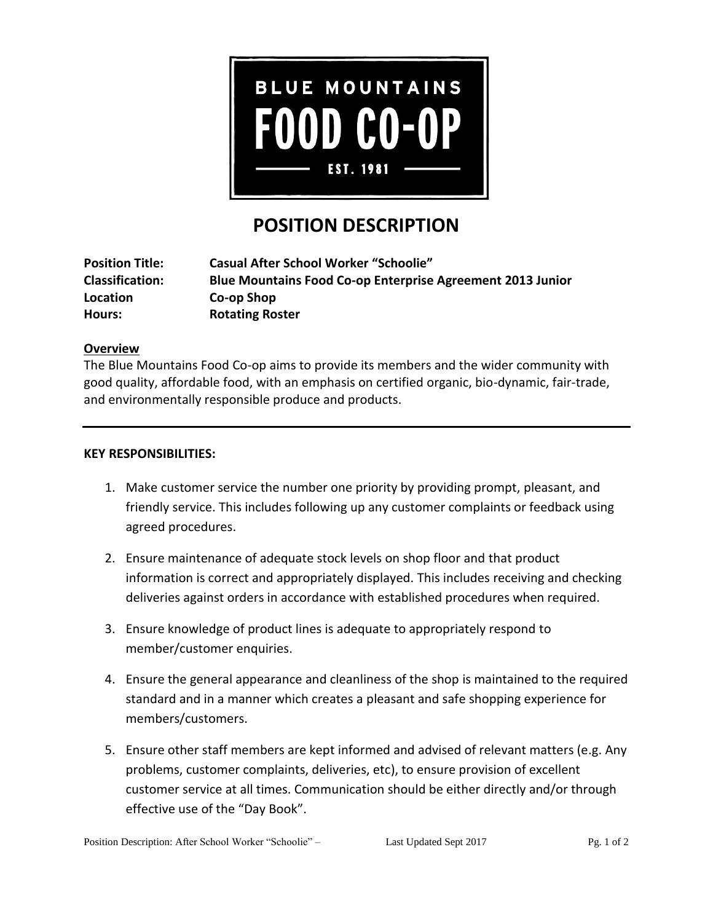

# **POSITION DESCRIPTION**

| <b>Position Title:</b> | <b>Casual After School Worker "Schoolie"</b>                      |
|------------------------|-------------------------------------------------------------------|
| <b>Classification:</b> | <b>Blue Mountains Food Co-op Enterprise Agreement 2013 Junior</b> |
| Location               | Co-op Shop                                                        |
| Hours:                 | <b>Rotating Roster</b>                                            |

# **Overview**

The Blue Mountains Food Co-op aims to provide its members and the wider community with good quality, affordable food, with an emphasis on certified organic, bio-dynamic, fair-trade, and environmentally responsible produce and products.

## **KEY RESPONSIBILITIES:**

- 1. Make customer service the number one priority by providing prompt, pleasant, and friendly service. This includes following up any customer complaints or feedback using agreed procedures.
- 2. Ensure maintenance of adequate stock levels on shop floor and that product information is correct and appropriately displayed. This includes receiving and checking deliveries against orders in accordance with established procedures when required.
- 3. Ensure knowledge of product lines is adequate to appropriately respond to member/customer enquiries.
- 4. Ensure the general appearance and cleanliness of the shop is maintained to the required standard and in a manner which creates a pleasant and safe shopping experience for members/customers.
- 5. Ensure other staff members are kept informed and advised of relevant matters (e.g. Any problems, customer complaints, deliveries, etc), to ensure provision of excellent customer service at all times. Communication should be either directly and/or through effective use of the "Day Book".